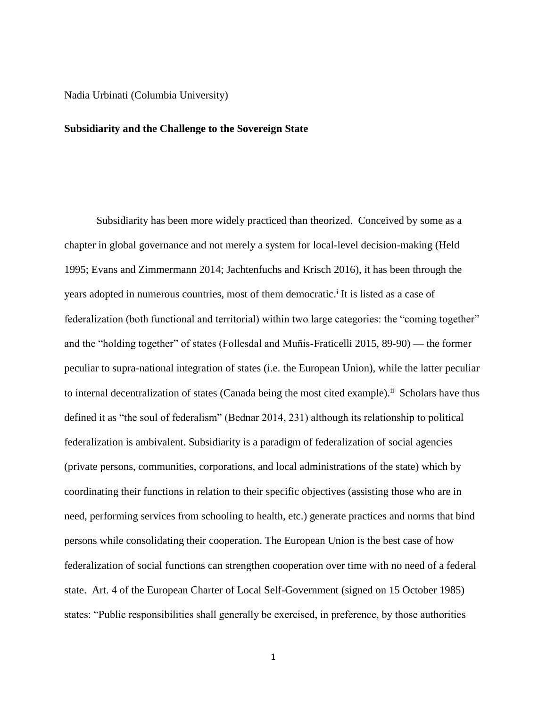### Nadia Urbinati (Columbia University)

### **Subsidiarity and the Challenge to the Sovereign State**

Subsidiarity has been more widely practiced than theorized. Conceived by some as a chapter in global governance and not merely a system for local-level decision-making (Held 1995; Evans and Zimmermann 2014; Jachtenfuchs and Krisch 2016), it has been through the years adopted in numerous countries, most of them democratic.<sup>i</sup> It is listed as a case of federalization (both functional and territorial) within two large categories: the "coming together" and the "holding together" of states (Follesdal and Muñis-Fraticelli 2015, 89-90) — the former peculiar to supra-national integration of states (i.e. the European Union), while the latter peculiar to internal decentralization of states (Canada being the most cited example).<sup>ii</sup> Scholars have thus defined it as "the soul of federalism" (Bednar 2014, 231) although its relationship to political federalization is ambivalent. Subsidiarity is a paradigm of federalization of social agencies (private persons, communities, corporations, and local administrations of the state) which by coordinating their functions in relation to their specific objectives (assisting those who are in need, performing services from schooling to health, etc.) generate practices and norms that bind persons while consolidating their cooperation. The European Union is the best case of how federalization of social functions can strengthen cooperation over time with no need of a federal state. Art. 4 of the European Charter of Local Self-Government (signed on 15 October 1985) states: "Public responsibilities shall generally be exercised, in preference, by those authorities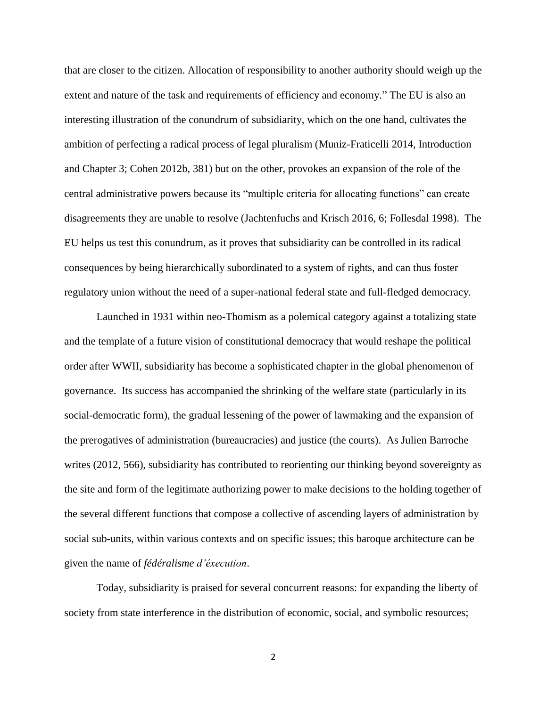that are closer to the citizen. Allocation of responsibility to another authority should weigh up the extent and nature of the task and requirements of efficiency and economy." The EU is also an interesting illustration of the conundrum of subsidiarity, which on the one hand, cultivates the ambition of perfecting a radical process of legal pluralism (Muniz-Fraticelli 2014, Introduction and Chapter 3; Cohen 2012b, 381) but on the other, provokes an expansion of the role of the central administrative powers because its "multiple criteria for allocating functions" can create disagreements they are unable to resolve (Jachtenfuchs and Krisch 2016, 6; Follesdal 1998). The EU helps us test this conundrum, as it proves that subsidiarity can be controlled in its radical consequences by being hierarchically subordinated to a system of rights, and can thus foster regulatory union without the need of a super-national federal state and full-fledged democracy.

Launched in 1931 within neo-Thomism as a polemical category against a totalizing state and the template of a future vision of constitutional democracy that would reshape the political order after WWII, subsidiarity has become a sophisticated chapter in the global phenomenon of governance. Its success has accompanied the shrinking of the welfare state (particularly in its social-democratic form), the gradual lessening of the power of lawmaking and the expansion of the prerogatives of administration (bureaucracies) and justice (the courts). As Julien Barroche writes (2012, 566), subsidiarity has contributed to reorienting our thinking beyond sovereignty as the site and form of the legitimate authorizing power to make decisions to the holding together of the several different functions that compose a collective of ascending layers of administration by social sub-units, within various contexts and on specific issues; this baroque architecture can be given the name of *fédéralisme d'éxecution*.

Today, subsidiarity is praised for several concurrent reasons: for expanding the liberty of society from state interference in the distribution of economic, social, and symbolic resources;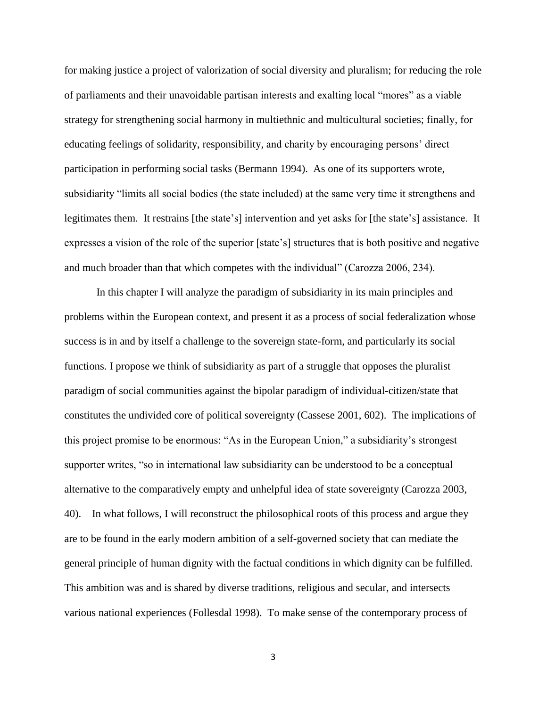for making justice a project of valorization of social diversity and pluralism; for reducing the role of parliaments and their unavoidable partisan interests and exalting local "mores" as a viable strategy for strengthening social harmony in multiethnic and multicultural societies; finally, for educating feelings of solidarity, responsibility, and charity by encouraging persons' direct participation in performing social tasks (Bermann 1994). As one of its supporters wrote, subsidiarity "limits all social bodies (the state included) at the same very time it strengthens and legitimates them. It restrains [the state's] intervention and yet asks for [the state's] assistance. It expresses a vision of the role of the superior [state's] structures that is both positive and negative and much broader than that which competes with the individual" (Carozza 2006, 234).

In this chapter I will analyze the paradigm of subsidiarity in its main principles and problems within the European context, and present it as a process of social federalization whose success is in and by itself a challenge to the sovereign state-form, and particularly its social functions. I propose we think of subsidiarity as part of a struggle that opposes the pluralist paradigm of social communities against the bipolar paradigm of individual-citizen/state that constitutes the undivided core of political sovereignty (Cassese 2001, 602). The implications of this project promise to be enormous: "As in the European Union," a subsidiarity's strongest supporter writes, "so in international law subsidiarity can be understood to be a conceptual alternative to the comparatively empty and unhelpful idea of state sovereignty (Carozza 2003, 40). In what follows, I will reconstruct the philosophical roots of this process and argue they are to be found in the early modern ambition of a self-governed society that can mediate the general principle of human dignity with the factual conditions in which dignity can be fulfilled. This ambition was and is shared by diverse traditions, religious and secular, and intersects various national experiences (Follesdal 1998). To make sense of the contemporary process of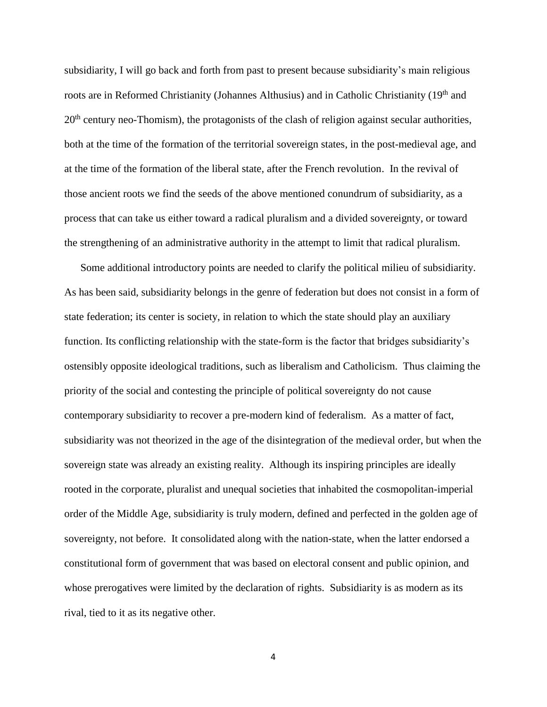subsidiarity, I will go back and forth from past to present because subsidiarity's main religious roots are in Reformed Christianity (Johannes Althusius) and in Catholic Christianity (19th and 20<sup>th</sup> century neo-Thomism), the protagonists of the clash of religion against secular authorities, both at the time of the formation of the territorial sovereign states, in the post-medieval age, and at the time of the formation of the liberal state, after the French revolution. In the revival of those ancient roots we find the seeds of the above mentioned conundrum of subsidiarity, as a process that can take us either toward a radical pluralism and a divided sovereignty, or toward the strengthening of an administrative authority in the attempt to limit that radical pluralism.

Some additional introductory points are needed to clarify the political milieu of subsidiarity. As has been said, subsidiarity belongs in the genre of federation but does not consist in a form of state federation; its center is society, in relation to which the state should play an auxiliary function. Its conflicting relationship with the state-form is the factor that bridges subsidiarity's ostensibly opposite ideological traditions, such as liberalism and Catholicism. Thus claiming the priority of the social and contesting the principle of political sovereignty do not cause contemporary subsidiarity to recover a pre-modern kind of federalism. As a matter of fact, subsidiarity was not theorized in the age of the disintegration of the medieval order, but when the sovereign state was already an existing reality. Although its inspiring principles are ideally rooted in the corporate, pluralist and unequal societies that inhabited the cosmopolitan-imperial order of the Middle Age, subsidiarity is truly modern, defined and perfected in the golden age of sovereignty, not before. It consolidated along with the nation-state, when the latter endorsed a constitutional form of government that was based on electoral consent and public opinion, and whose prerogatives were limited by the declaration of rights. Subsidiarity is as modern as its rival, tied to it as its negative other.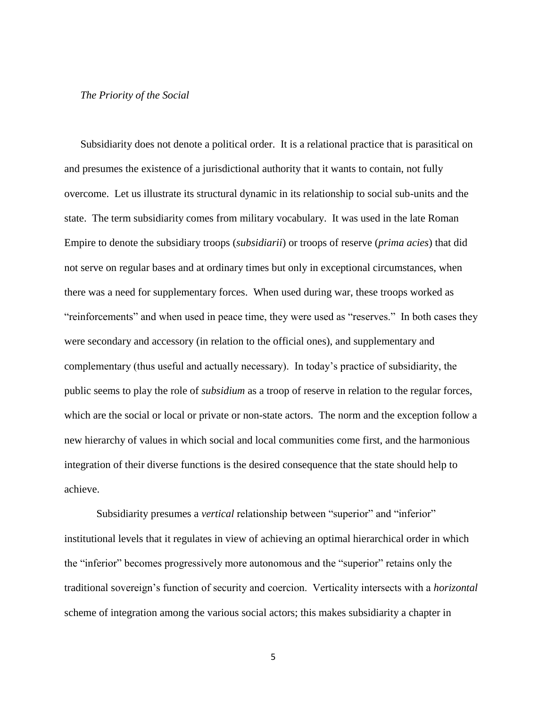## *The Priority of the Social*

Subsidiarity does not denote a political order. It is a relational practice that is parasitical on and presumes the existence of a jurisdictional authority that it wants to contain, not fully overcome. Let us illustrate its structural dynamic in its relationship to social sub-units and the state. The term subsidiarity comes from military vocabulary. It was used in the late Roman Empire to denote the subsidiary troops (*subsidiarii*) or troops of reserve (*prima acies*) that did not serve on regular bases and at ordinary times but only in exceptional circumstances, when there was a need for supplementary forces. When used during war, these troops worked as "reinforcements" and when used in peace time, they were used as "reserves." In both cases they were secondary and accessory (in relation to the official ones), and supplementary and complementary (thus useful and actually necessary). In today's practice of subsidiarity, the public seems to play the role of *subsidium* as a troop of reserve in relation to the regular forces, which are the social or local or private or non-state actors. The norm and the exception follow a new hierarchy of values in which social and local communities come first, and the harmonious integration of their diverse functions is the desired consequence that the state should help to achieve.

Subsidiarity presumes a *vertical* relationship between "superior" and "inferior" institutional levels that it regulates in view of achieving an optimal hierarchical order in which the "inferior" becomes progressively more autonomous and the "superior" retains only the traditional sovereign's function of security and coercion. Verticality intersects with a *horizontal* scheme of integration among the various social actors; this makes subsidiarity a chapter in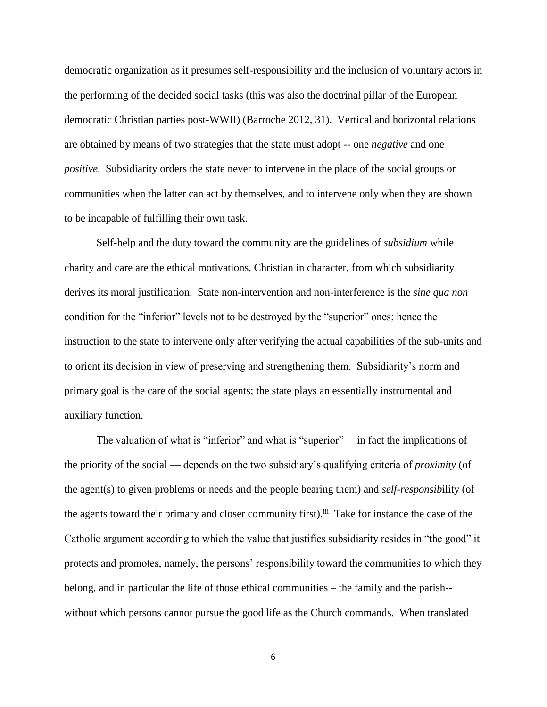democratic organization as it presumes self-responsibility and the inclusion of voluntary actors in the performing of the decided social tasks (this was also the doctrinal pillar of the European democratic Christian parties post-WWII) (Barroche 2012, 31). Vertical and horizontal relations are obtained by means of two strategies that the state must adopt -- one *negative* and one *positive*. Subsidiarity orders the state never to intervene in the place of the social groups or communities when the latter can act by themselves, and to intervene only when they are shown to be incapable of fulfilling their own task.

Self-help and the duty toward the community are the guidelines of *subsidium* while charity and care are the ethical motivations, Christian in character, from which subsidiarity derives its moral justification. State non-intervention and non-interference is the *sine qua non* condition for the "inferior" levels not to be destroyed by the "superior" ones; hence the instruction to the state to intervene only after verifying the actual capabilities of the sub-units and to orient its decision in view of preserving and strengthening them. Subsidiarity's norm and primary goal is the care of the social agents; the state plays an essentially instrumental and auxiliary function.

The valuation of what is "inferior" and what is "superior"— in fact the implications of the priority of the social — depends on the two subsidiary's qualifying criteria of *proximity* (of the agent(s) to given problems or needs and the people bearing them) and *self-responsib*ility (of the agents toward their primary and closer community first).<sup>iii</sup> Take for instance the case of the Catholic argument according to which the value that justifies subsidiarity resides in "the good" it protects and promotes, namely, the persons' responsibility toward the communities to which they belong, and in particular the life of those ethical communities – the family and the parish- without which persons cannot pursue the good life as the Church commands. When translated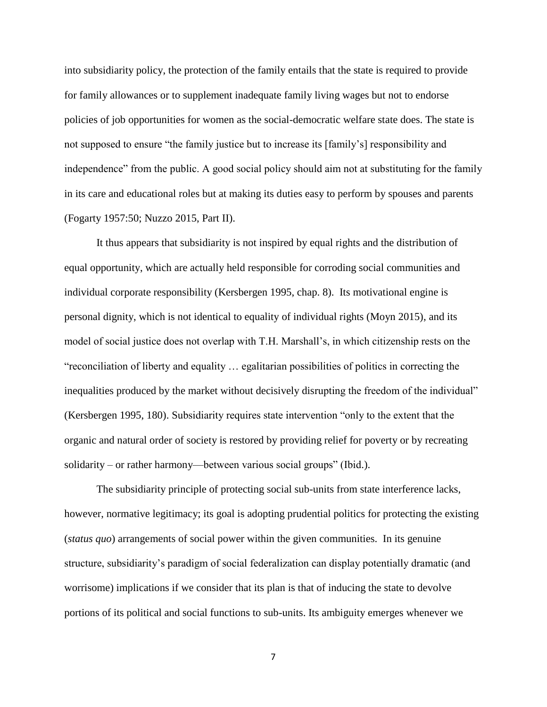into subsidiarity policy, the protection of the family entails that the state is required to provide for family allowances or to supplement inadequate family living wages but not to endorse policies of job opportunities for women as the social-democratic welfare state does. The state is not supposed to ensure "the family justice but to increase its [family's] responsibility and independence" from the public. A good social policy should aim not at substituting for the family in its care and educational roles but at making its duties easy to perform by spouses and parents (Fogarty 1957:50; Nuzzo 2015, Part II).

It thus appears that subsidiarity is not inspired by equal rights and the distribution of equal opportunity, which are actually held responsible for corroding social communities and individual corporate responsibility (Kersbergen 1995, chap. 8). Its motivational engine is personal dignity, which is not identical to equality of individual rights (Moyn 2015), and its model of social justice does not overlap with T.H. Marshall's, in which citizenship rests on the "reconciliation of liberty and equality … egalitarian possibilities of politics in correcting the inequalities produced by the market without decisively disrupting the freedom of the individual" (Kersbergen 1995, 180). Subsidiarity requires state intervention "only to the extent that the organic and natural order of society is restored by providing relief for poverty or by recreating solidarity – or rather harmony—between various social groups" (Ibid.).

The subsidiarity principle of protecting social sub-units from state interference lacks, however, normative legitimacy; its goal is adopting prudential politics for protecting the existing (*status quo*) arrangements of social power within the given communities. In its genuine structure, subsidiarity's paradigm of social federalization can display potentially dramatic (and worrisome) implications if we consider that its plan is that of inducing the state to devolve portions of its political and social functions to sub-units. Its ambiguity emerges whenever we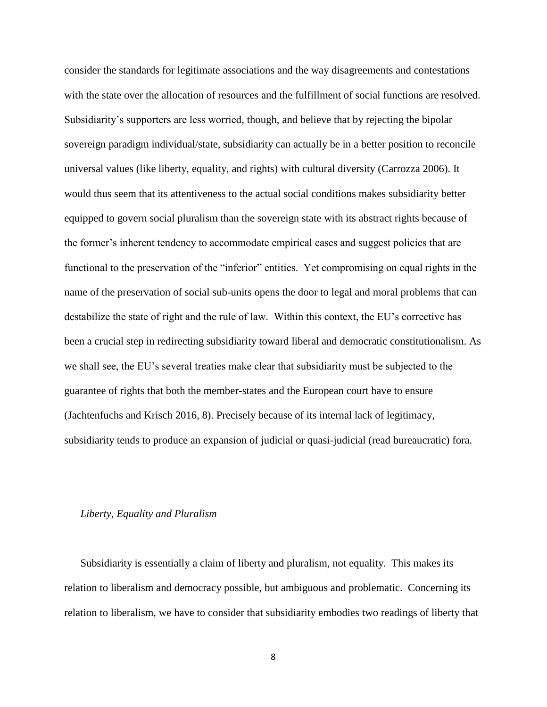consider the standards for legitimate associations and the way disagreements and contestations with the state over the allocation of resources and the fulfillment of social functions are resolved. Subsidiarity's supporters are less worried, though, and believe that by rejecting the bipolar sovereign paradigm individual/state, subsidiarity can actually be in a better position to reconcile universal values (like liberty, equality, and rights) with cultural diversity (Carrozza 2006). It would thus seem that its attentiveness to the actual social conditions makes subsidiarity better equipped to govern social pluralism than the sovereign state with its abstract rights because of the former's inherent tendency to accommodate empirical cases and suggest policies that are functional to the preservation of the "inferior" entities. Yet compromising on equal rights in the name of the preservation of social sub-units opens the door to legal and moral problems that can destabilize the state of right and the rule of law. Within this context, the EU's corrective has been a crucial step in redirecting subsidiarity toward liberal and democratic constitutionalism. As we shall see, the EU's several treaties make clear that subsidiarity must be subjected to the guarantee of rights that both the member-states and the European court have to ensure (Jachtenfuchs and Krisch 2016, 8). Precisely because of its internal lack of legitimacy, subsidiarity tends to produce an expansion of judicial or quasi-judicial (read bureaucratic) fora.

#### *Liberty, Equality and Pluralism*

Subsidiarity is essentially a claim of liberty and pluralism, not equality. This makes its relation to liberalism and democracy possible, but ambiguous and problematic. Concerning its relation to liberalism, we have to consider that subsidiarity embodies two readings of liberty that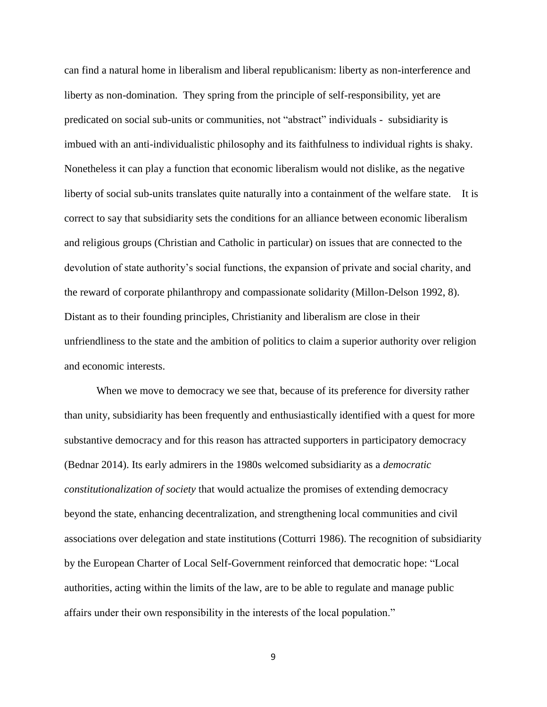can find a natural home in liberalism and liberal republicanism: liberty as non-interference and liberty as non-domination. They spring from the principle of self-responsibility, yet are predicated on social sub-units or communities, not "abstract" individuals - subsidiarity is imbued with an anti-individualistic philosophy and its faithfulness to individual rights is shaky. Nonetheless it can play a function that economic liberalism would not dislike, as the negative liberty of social sub-units translates quite naturally into a containment of the welfare state. It is correct to say that subsidiarity sets the conditions for an alliance between economic liberalism and religious groups (Christian and Catholic in particular) on issues that are connected to the devolution of state authority's social functions, the expansion of private and social charity, and the reward of corporate philanthropy and compassionate solidarity (Millon-Delson 1992, 8). Distant as to their founding principles, Christianity and liberalism are close in their unfriendliness to the state and the ambition of politics to claim a superior authority over religion and economic interests.

When we move to democracy we see that, because of its preference for diversity rather than unity, subsidiarity has been frequently and enthusiastically identified with a quest for more substantive democracy and for this reason has attracted supporters in participatory democracy (Bednar 2014). Its early admirers in the 1980s welcomed subsidiarity as a *democratic constitutionalization of society* that would actualize the promises of extending democracy beyond the state, enhancing decentralization, and strengthening local communities and civil associations over delegation and state institutions (Cotturri 1986). The recognition of subsidiarity by the European Charter of Local Self-Government reinforced that democratic hope: "Local authorities, acting within the limits of the law, are to be able to regulate and manage public affairs under their own responsibility in the interests of the local population."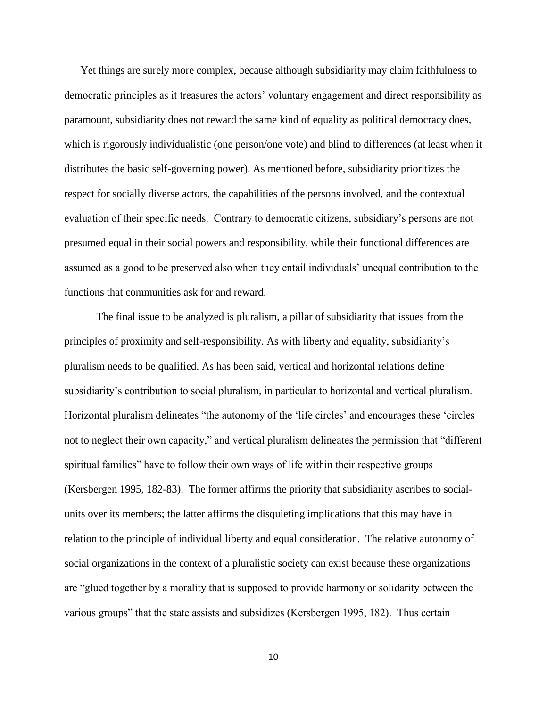Yet things are surely more complex, because although subsidiarity may claim faithfulness to democratic principles as it treasures the actors' voluntary engagement and direct responsibility as paramount, subsidiarity does not reward the same kind of equality as political democracy does, which is rigorously individualistic (one person/one vote) and blind to differences (at least when it distributes the basic self-governing power). As mentioned before, subsidiarity prioritizes the respect for socially diverse actors, the capabilities of the persons involved, and the contextual evaluation of their specific needs. Contrary to democratic citizens, subsidiary's persons are not presumed equal in their social powers and responsibility, while their functional differences are assumed as a good to be preserved also when they entail individuals' unequal contribution to the functions that communities ask for and reward.

The final issue to be analyzed is pluralism, a pillar of subsidiarity that issues from the principles of proximity and self-responsibility. As with liberty and equality, subsidiarity's pluralism needs to be qualified. As has been said, vertical and horizontal relations define subsidiarity's contribution to social pluralism, in particular to horizontal and vertical pluralism. Horizontal pluralism delineates "the autonomy of the 'life circles' and encourages these 'circles not to neglect their own capacity," and vertical pluralism delineates the permission that "different spiritual families" have to follow their own ways of life within their respective groups (Kersbergen 1995, 182-83). The former affirms the priority that subsidiarity ascribes to socialunits over its members; the latter affirms the disquieting implications that this may have in relation to the principle of individual liberty and equal consideration. The relative autonomy of social organizations in the context of a pluralistic society can exist because these organizations are "glued together by a morality that is supposed to provide harmony or solidarity between the various groups" that the state assists and subsidizes (Kersbergen 1995, 182). Thus certain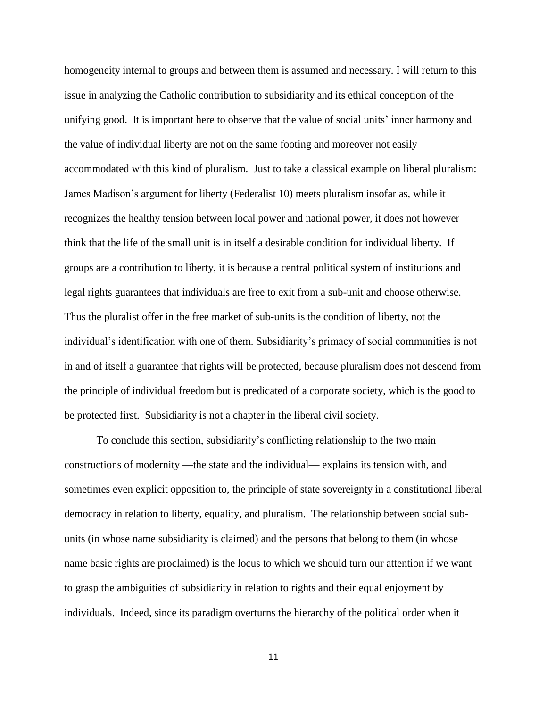homogeneity internal to groups and between them is assumed and necessary. I will return to this issue in analyzing the Catholic contribution to subsidiarity and its ethical conception of the unifying good. It is important here to observe that the value of social units' inner harmony and the value of individual liberty are not on the same footing and moreover not easily accommodated with this kind of pluralism. Just to take a classical example on liberal pluralism: James Madison's argument for liberty (Federalist 10) meets pluralism insofar as, while it recognizes the healthy tension between local power and national power, it does not however think that the life of the small unit is in itself a desirable condition for individual liberty. If groups are a contribution to liberty, it is because a central political system of institutions and legal rights guarantees that individuals are free to exit from a sub-unit and choose otherwise. Thus the pluralist offer in the free market of sub-units is the condition of liberty, not the individual's identification with one of them. Subsidiarity's primacy of social communities is not in and of itself a guarantee that rights will be protected, because pluralism does not descend from the principle of individual freedom but is predicated of a corporate society, which is the good to be protected first. Subsidiarity is not a chapter in the liberal civil society.

To conclude this section, subsidiarity's conflicting relationship to the two main constructions of modernity —the state and the individual— explains its tension with, and sometimes even explicit opposition to, the principle of state sovereignty in a constitutional liberal democracy in relation to liberty, equality, and pluralism. The relationship between social subunits (in whose name subsidiarity is claimed) and the persons that belong to them (in whose name basic rights are proclaimed) is the locus to which we should turn our attention if we want to grasp the ambiguities of subsidiarity in relation to rights and their equal enjoyment by individuals. Indeed, since its paradigm overturns the hierarchy of the political order when it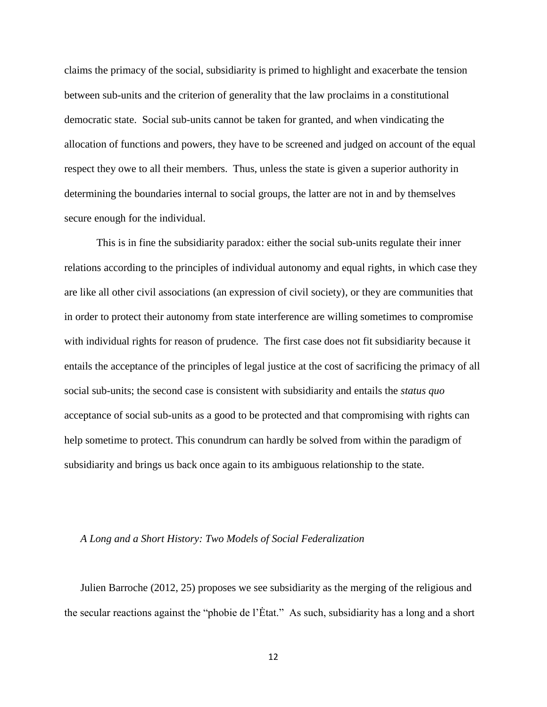claims the primacy of the social, subsidiarity is primed to highlight and exacerbate the tension between sub-units and the criterion of generality that the law proclaims in a constitutional democratic state. Social sub-units cannot be taken for granted, and when vindicating the allocation of functions and powers, they have to be screened and judged on account of the equal respect they owe to all their members. Thus, unless the state is given a superior authority in determining the boundaries internal to social groups, the latter are not in and by themselves secure enough for the individual.

This is in fine the subsidiarity paradox: either the social sub-units regulate their inner relations according to the principles of individual autonomy and equal rights, in which case they are like all other civil associations (an expression of civil society), or they are communities that in order to protect their autonomy from state interference are willing sometimes to compromise with individual rights for reason of prudence. The first case does not fit subsidiarity because it entails the acceptance of the principles of legal justice at the cost of sacrificing the primacy of all social sub-units; the second case is consistent with subsidiarity and entails the *status quo*  acceptance of social sub-units as a good to be protected and that compromising with rights can help sometime to protect. This conundrum can hardly be solved from within the paradigm of subsidiarity and brings us back once again to its ambiguous relationship to the state.

#### *A Long and a Short History: Two Models of Social Federalization*

Julien Barroche (2012, 25) proposes we see subsidiarity as the merging of the religious and the secular reactions against the "phobie de l'Ėtat." As such, subsidiarity has a long and a short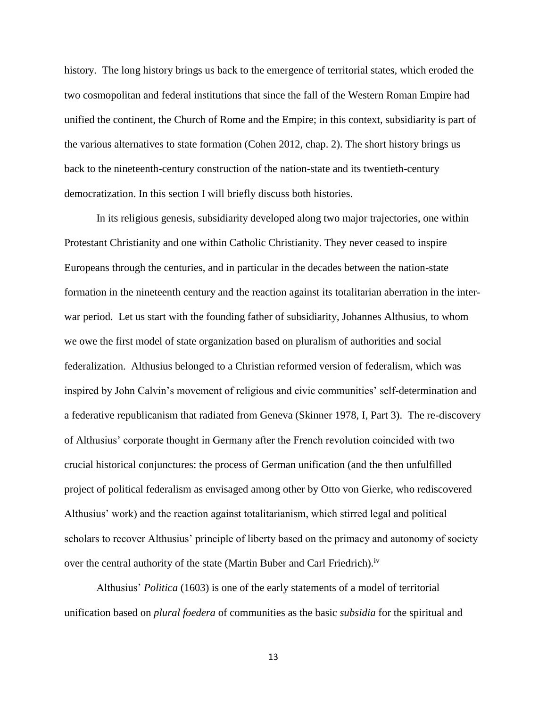history. The long history brings us back to the emergence of territorial states, which eroded the two cosmopolitan and federal institutions that since the fall of the Western Roman Empire had unified the continent, the Church of Rome and the Empire; in this context, subsidiarity is part of the various alternatives to state formation (Cohen 2012, chap. 2). The short history brings us back to the nineteenth-century construction of the nation-state and its twentieth-century democratization. In this section I will briefly discuss both histories.

In its religious genesis, subsidiarity developed along two major trajectories, one within Protestant Christianity and one within Catholic Christianity. They never ceased to inspire Europeans through the centuries, and in particular in the decades between the nation-state formation in the nineteenth century and the reaction against its totalitarian aberration in the interwar period. Let us start with the founding father of subsidiarity, Johannes Althusius, to whom we owe the first model of state organization based on pluralism of authorities and social federalization. Althusius belonged to a Christian reformed version of federalism, which was inspired by John Calvin's movement of religious and civic communities' self-determination and a federative republicanism that radiated from Geneva (Skinner 1978, I, Part 3). The re-discovery of Althusius' corporate thought in Germany after the French revolution coincided with two crucial historical conjunctures: the process of German unification (and the then unfulfilled project of political federalism as envisaged among other by Otto von Gierke, who rediscovered Althusius' work) and the reaction against totalitarianism, which stirred legal and political scholars to recover Althusius' principle of liberty based on the primacy and autonomy of society over the central authority of the state (Martin Buber and Carl Friedrich).<sup>iv</sup>

Althusius' *Politica* (1603) is one of the early statements of a model of territorial unification based on *plural foedera* of communities as the basic *subsidia* for the spiritual and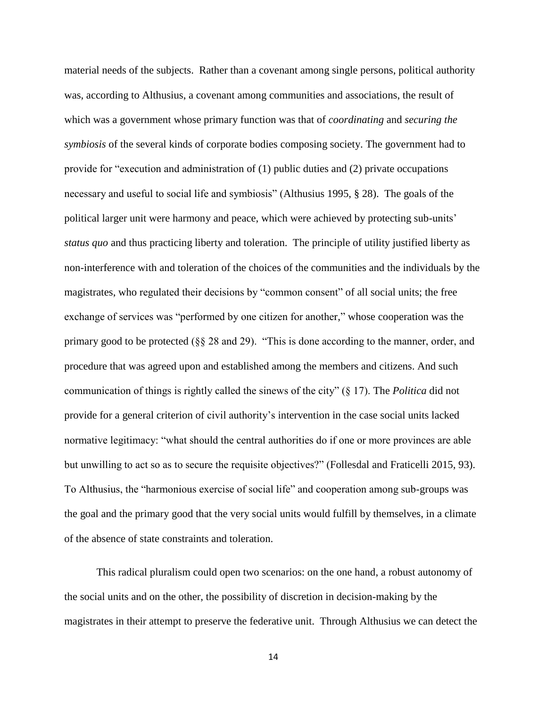material needs of the subjects. Rather than a covenant among single persons, political authority was, according to Althusius, a covenant among communities and associations, the result of which was a government whose primary function was that of *coordinating* and *securing the symbiosis* of the several kinds of corporate bodies composing society. The government had to provide for "execution and administration of (1) public duties and (2) private occupations necessary and useful to social life and symbiosis" (Althusius 1995, § 28). The goals of the political larger unit were harmony and peace, which were achieved by protecting sub-units' *status quo* and thus practicing liberty and toleration. The principle of utility justified liberty as non-interference with and toleration of the choices of the communities and the individuals by the magistrates, who regulated their decisions by "common consent" of all social units; the free exchange of services was "performed by one citizen for another," whose cooperation was the primary good to be protected  $(\S$  28 and 29). "This is done according to the manner, order, and procedure that was agreed upon and established among the members and citizens. And such communication of things is rightly called the sinews of the city" (§ 17). The *Politica* did not provide for a general criterion of civil authority's intervention in the case social units lacked normative legitimacy: "what should the central authorities do if one or more provinces are able but unwilling to act so as to secure the requisite objectives?" (Follesdal and Fraticelli 2015, 93). To Althusius, the "harmonious exercise of social life" and cooperation among sub-groups was the goal and the primary good that the very social units would fulfill by themselves, in a climate of the absence of state constraints and toleration.

This radical pluralism could open two scenarios: on the one hand, a robust autonomy of the social units and on the other, the possibility of discretion in decision-making by the magistrates in their attempt to preserve the federative unit. Through Althusius we can detect the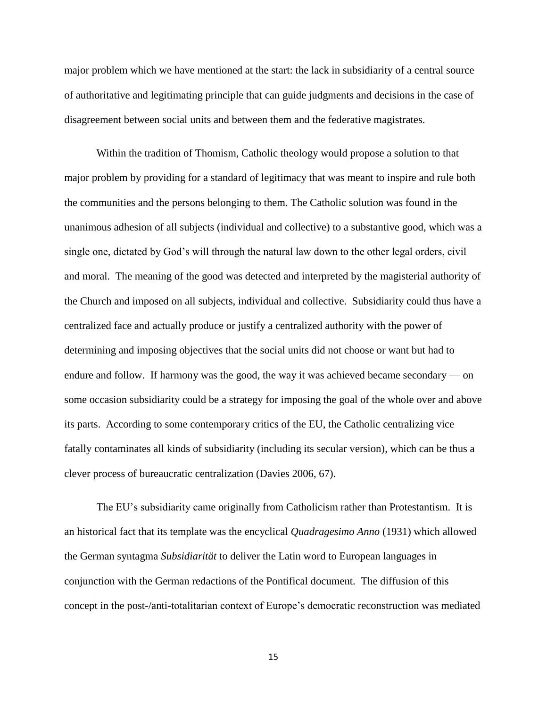major problem which we have mentioned at the start: the lack in subsidiarity of a central source of authoritative and legitimating principle that can guide judgments and decisions in the case of disagreement between social units and between them and the federative magistrates.

Within the tradition of Thomism, Catholic theology would propose a solution to that major problem by providing for a standard of legitimacy that was meant to inspire and rule both the communities and the persons belonging to them. The Catholic solution was found in the unanimous adhesion of all subjects (individual and collective) to a substantive good, which was a single one, dictated by God's will through the natural law down to the other legal orders, civil and moral. The meaning of the good was detected and interpreted by the magisterial authority of the Church and imposed on all subjects, individual and collective. Subsidiarity could thus have a centralized face and actually produce or justify a centralized authority with the power of determining and imposing objectives that the social units did not choose or want but had to endure and follow. If harmony was the good, the way it was achieved became secondary — on some occasion subsidiarity could be a strategy for imposing the goal of the whole over and above its parts. According to some contemporary critics of the EU, the Catholic centralizing vice fatally contaminates all kinds of subsidiarity (including its secular version), which can be thus a clever process of bureaucratic centralization (Davies 2006, 67).

The EU's subsidiarity came originally from Catholicism rather than Protestantism. It is an historical fact that its template was the encyclical *Quadragesimo Anno* (1931) which allowed the German syntagma *Subsidiarität* to deliver the Latin word to European languages in conjunction with the German redactions of the Pontifical document. The diffusion of this concept in the post-/anti-totalitarian context of Europe's democratic reconstruction was mediated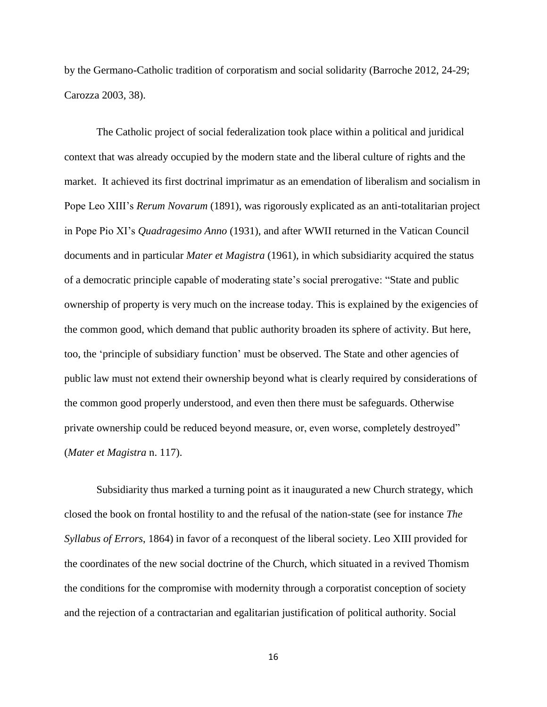by the Germano-Catholic tradition of corporatism and social solidarity (Barroche 2012, 24-29; Carozza 2003, 38).

The Catholic project of social federalization took place within a political and juridical context that was already occupied by the modern state and the liberal culture of rights and the market. It achieved its first doctrinal imprimatur as an emendation of liberalism and socialism in Pope Leo XIII's *Rerum Novarum* (1891), was rigorously explicated as an anti-totalitarian project in Pope Pio XI's *Quadragesimo Anno* (1931), and after WWII returned in the Vatican Council documents and in particular *Mater et Magistra* (1961), in which subsidiarity acquired the status of a democratic principle capable of moderating state's social prerogative: "State and public ownership of property is very much on the increase today. This is explained by the exigencies of the common good, which demand that public authority broaden its sphere of activity. But here, too, the 'principle of subsidiary function' must be observed. The State and other agencies of public law must not extend their ownership beyond what is clearly required by considerations of the common good properly understood, and even then there must be safeguards. Otherwise private ownership could be reduced beyond measure, or, even worse, completely destroyed" (*Mater et Magistra* n. 117).

Subsidiarity thus marked a turning point as it inaugurated a new Church strategy, which closed the book on frontal hostility to and the refusal of the nation-state (see for instance *The Syllabus of Errors*, 1864) in favor of a reconquest of the liberal society. Leo XIII provided for the coordinates of the new social doctrine of the Church, which situated in a revived Thomism the conditions for the compromise with modernity through a corporatist conception of society and the rejection of a contractarian and egalitarian justification of political authority. Social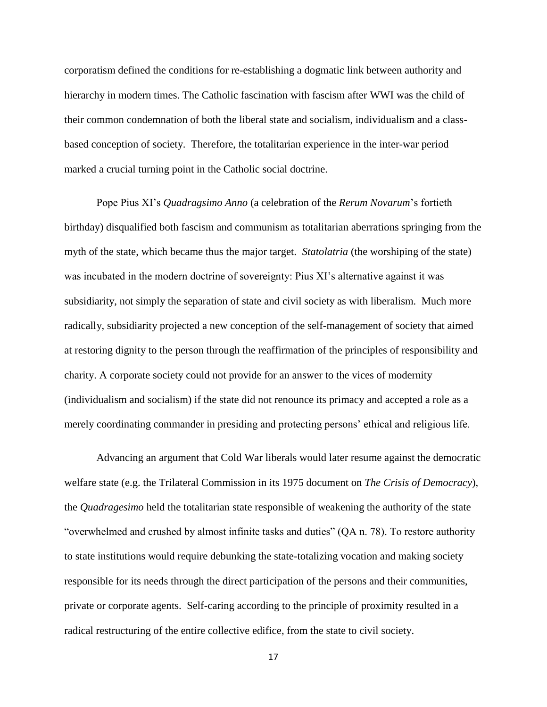corporatism defined the conditions for re-establishing a dogmatic link between authority and hierarchy in modern times. The Catholic fascination with fascism after WWI was the child of their common condemnation of both the liberal state and socialism, individualism and a classbased conception of society. Therefore, the totalitarian experience in the inter-war period marked a crucial turning point in the Catholic social doctrine.

Pope Pius XI's *Quadragsimo Anno* (a celebration of the *Rerum Novarum*'s fortieth birthday) disqualified both fascism and communism as totalitarian aberrations springing from the myth of the state, which became thus the major target. *Statolatria* (the worshiping of the state) was incubated in the modern doctrine of sovereignty: Pius XI's alternative against it was subsidiarity, not simply the separation of state and civil society as with liberalism. Much more radically, subsidiarity projected a new conception of the self-management of society that aimed at restoring dignity to the person through the reaffirmation of the principles of responsibility and charity. A corporate society could not provide for an answer to the vices of modernity (individualism and socialism) if the state did not renounce its primacy and accepted a role as a merely coordinating commander in presiding and protecting persons' ethical and religious life.

Advancing an argument that Cold War liberals would later resume against the democratic welfare state (e.g. the Trilateral Commission in its 1975 document on *The Crisis of Democracy*), the *Quadragesimo* held the totalitarian state responsible of weakening the authority of the state "overwhelmed and crushed by almost infinite tasks and duties" (QA n. 78). To restore authority to state institutions would require debunking the state-totalizing vocation and making society responsible for its needs through the direct participation of the persons and their communities, private or corporate agents. Self-caring according to the principle of proximity resulted in a radical restructuring of the entire collective edifice, from the state to civil society.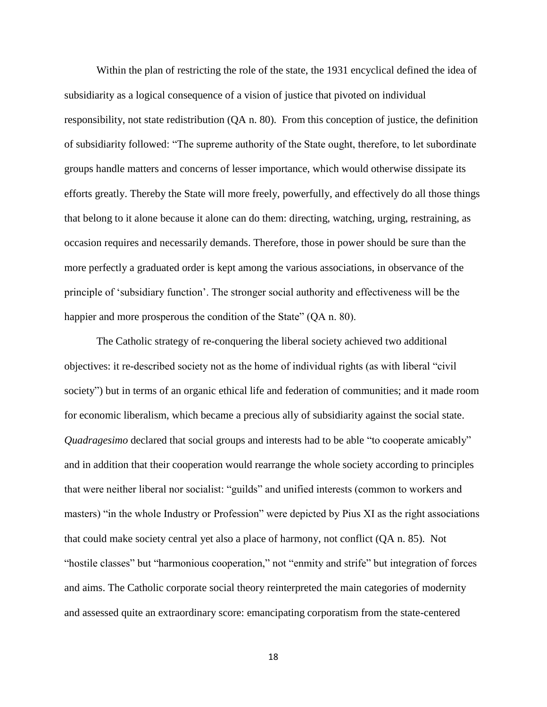Within the plan of restricting the role of the state, the 1931 encyclical defined the idea of subsidiarity as a logical consequence of a vision of justice that pivoted on individual responsibility, not state redistribution (QA n. 80). From this conception of justice, the definition of subsidiarity followed: "The supreme authority of the State ought, therefore, to let subordinate groups handle matters and concerns of lesser importance, which would otherwise dissipate its efforts greatly. Thereby the State will more freely, powerfully, and effectively do all those things that belong to it alone because it alone can do them: directing, watching, urging, restraining, as occasion requires and necessarily demands. Therefore, those in power should be sure than the more perfectly a graduated order is kept among the various associations, in observance of the principle of 'subsidiary function'. The stronger social authority and effectiveness will be the happier and more prosperous the condition of the State" (QA n. 80).

The Catholic strategy of re-conquering the liberal society achieved two additional objectives: it re-described society not as the home of individual rights (as with liberal "civil society") but in terms of an organic ethical life and federation of communities; and it made room for economic liberalism, which became a precious ally of subsidiarity against the social state. *Quadragesimo* declared that social groups and interests had to be able "to cooperate amicably" and in addition that their cooperation would rearrange the whole society according to principles that were neither liberal nor socialist: "guilds" and unified interests (common to workers and masters) "in the whole Industry or Profession" were depicted by Pius XI as the right associations that could make society central yet also a place of harmony, not conflict (QA n. 85). Not "hostile classes" but "harmonious cooperation," not "enmity and strife" but integration of forces and aims. The Catholic corporate social theory reinterpreted the main categories of modernity and assessed quite an extraordinary score: emancipating corporatism from the state-centered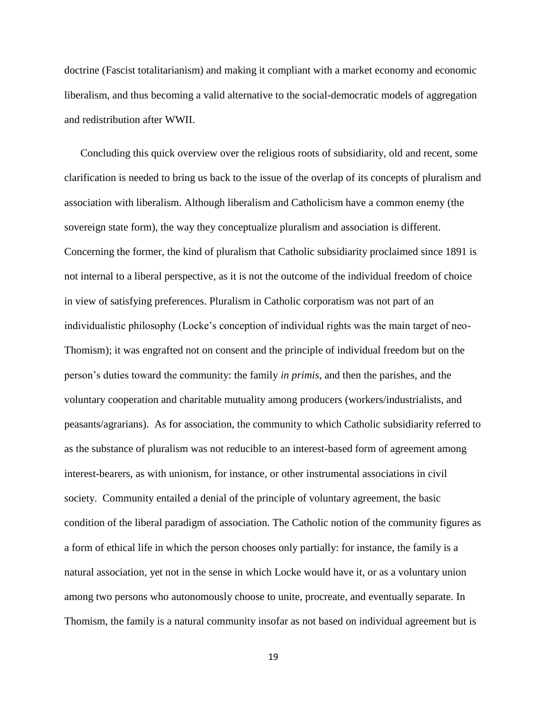doctrine (Fascist totalitarianism) and making it compliant with a market economy and economic liberalism, and thus becoming a valid alternative to the social-democratic models of aggregation and redistribution after WWII.

Concluding this quick overview over the religious roots of subsidiarity, old and recent, some clarification is needed to bring us back to the issue of the overlap of its concepts of pluralism and association with liberalism. Although liberalism and Catholicism have a common enemy (the sovereign state form), the way they conceptualize pluralism and association is different. Concerning the former, the kind of pluralism that Catholic subsidiarity proclaimed since 1891 is not internal to a liberal perspective, as it is not the outcome of the individual freedom of choice in view of satisfying preferences. Pluralism in Catholic corporatism was not part of an individualistic philosophy (Locke's conception of individual rights was the main target of neo-Thomism); it was engrafted not on consent and the principle of individual freedom but on the person's duties toward the community: the family *in primis*, and then the parishes, and the voluntary cooperation and charitable mutuality among producers (workers/industrialists, and peasants/agrarians). As for association, the community to which Catholic subsidiarity referred to as the substance of pluralism was not reducible to an interest-based form of agreement among interest-bearers, as with unionism, for instance, or other instrumental associations in civil society. Community entailed a denial of the principle of voluntary agreement, the basic condition of the liberal paradigm of association. The Catholic notion of the community figures as a form of ethical life in which the person chooses only partially: for instance, the family is a natural association, yet not in the sense in which Locke would have it, or as a voluntary union among two persons who autonomously choose to unite, procreate, and eventually separate. In Thomism, the family is a natural community insofar as not based on individual agreement but is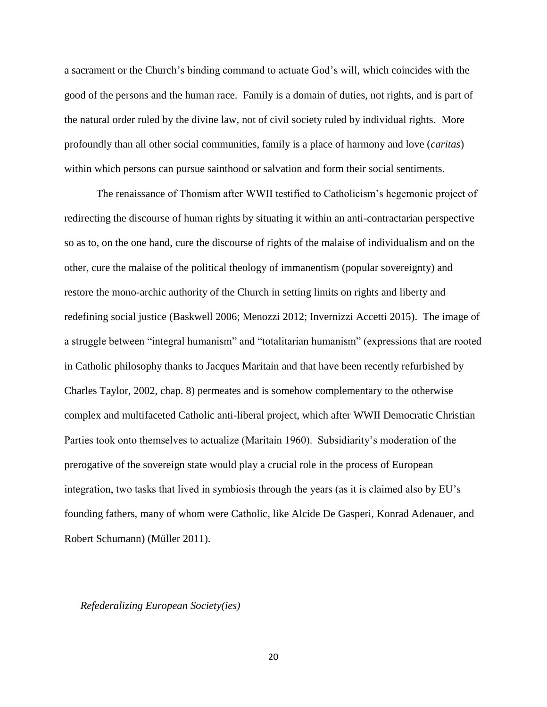a sacrament or the Church's binding command to actuate God's will, which coincides with the good of the persons and the human race. Family is a domain of duties, not rights, and is part of the natural order ruled by the divine law, not of civil society ruled by individual rights. More profoundly than all other social communities, family is a place of harmony and love (*caritas*) within which persons can pursue sainthood or salvation and form their social sentiments.

The renaissance of Thomism after WWII testified to Catholicism's hegemonic project of redirecting the discourse of human rights by situating it within an anti-contractarian perspective so as to, on the one hand, cure the discourse of rights of the malaise of individualism and on the other, cure the malaise of the political theology of immanentism (popular sovereignty) and restore the mono-archic authority of the Church in setting limits on rights and liberty and redefining social justice (Baskwell 2006; Menozzi 2012; Invernizzi Accetti 2015). The image of a struggle between "integral humanism" and "totalitarian humanism" (expressions that are rooted in Catholic philosophy thanks to Jacques Maritain and that have been recently refurbished by Charles Taylor, 2002, chap. 8) permeates and is somehow complementary to the otherwise complex and multifaceted Catholic anti-liberal project, which after WWII Democratic Christian Parties took onto themselves to actualize (Maritain 1960). Subsidiarity's moderation of the prerogative of the sovereign state would play a crucial role in the process of European integration, two tasks that lived in symbiosis through the years (as it is claimed also by EU's founding fathers, many of whom were Catholic, like Alcide De Gasperi, Konrad Adenauer, and Robert Schumann) (Müller 2011).

# *Refederalizing European Society(ies)*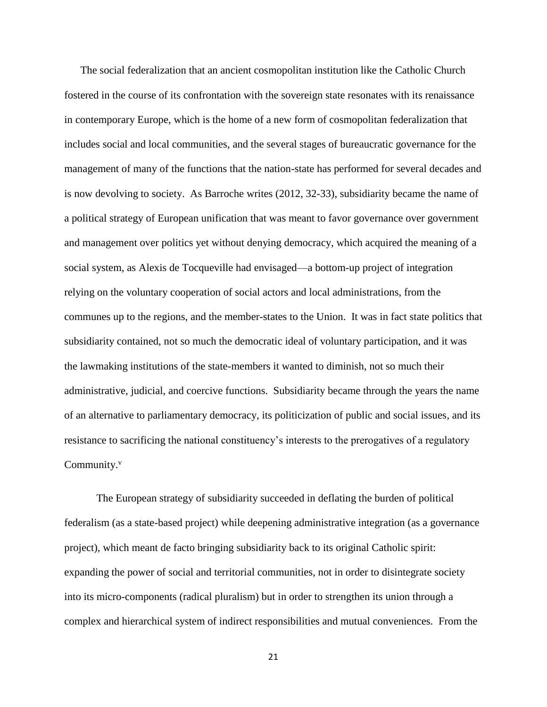The social federalization that an ancient cosmopolitan institution like the Catholic Church fostered in the course of its confrontation with the sovereign state resonates with its renaissance in contemporary Europe, which is the home of a new form of cosmopolitan federalization that includes social and local communities, and the several stages of bureaucratic governance for the management of many of the functions that the nation-state has performed for several decades and is now devolving to society. As Barroche writes (2012, 32-33), subsidiarity became the name of a political strategy of European unification that was meant to favor governance over government and management over politics yet without denying democracy, which acquired the meaning of a social system, as Alexis de Tocqueville had envisaged—a bottom-up project of integration relying on the voluntary cooperation of social actors and local administrations, from the communes up to the regions, and the member-states to the Union. It was in fact state politics that subsidiarity contained, not so much the democratic ideal of voluntary participation, and it was the lawmaking institutions of the state-members it wanted to diminish, not so much their administrative, judicial, and coercive functions. Subsidiarity became through the years the name of an alternative to parliamentary democracy, its politicization of public and social issues, and its resistance to sacrificing the national constituency's interests to the prerogatives of a regulatory Community.<sup>v</sup>

The European strategy of subsidiarity succeeded in deflating the burden of political federalism (as a state-based project) while deepening administrative integration (as a governance project), which meant de facto bringing subsidiarity back to its original Catholic spirit: expanding the power of social and territorial communities, not in order to disintegrate society into its micro-components (radical pluralism) but in order to strengthen its union through a complex and hierarchical system of indirect responsibilities and mutual conveniences. From the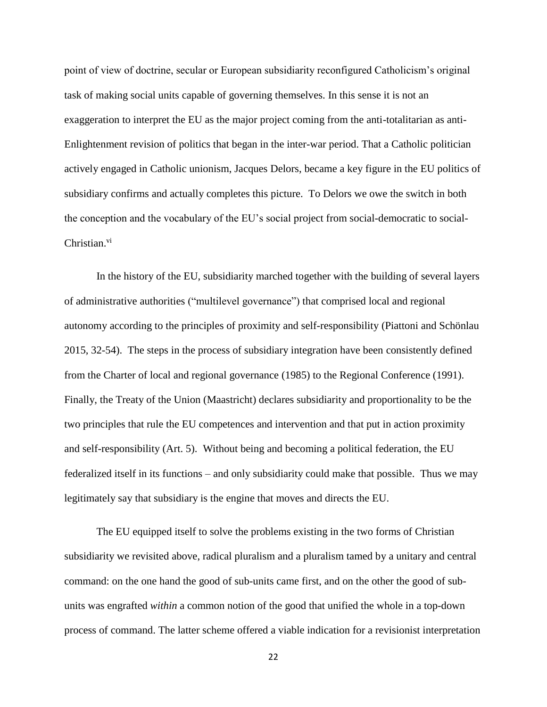point of view of doctrine, secular or European subsidiarity reconfigured Catholicism's original task of making social units capable of governing themselves. In this sense it is not an exaggeration to interpret the EU as the major project coming from the anti-totalitarian as anti-Enlightenment revision of politics that began in the inter-war period. That a Catholic politician actively engaged in Catholic unionism, Jacques Delors, became a key figure in the EU politics of subsidiary confirms and actually completes this picture. To Delors we owe the switch in both the conception and the vocabulary of the EU's social project from social-democratic to social-Christian.<sup>vi</sup>

In the history of the EU, subsidiarity marched together with the building of several layers of administrative authorities ("multilevel governance") that comprised local and regional autonomy according to the principles of proximity and self-responsibility (Piattoni and Schönlau 2015, 32-54). The steps in the process of subsidiary integration have been consistently defined from the Charter of local and regional governance (1985) to the Regional Conference (1991). Finally, the Treaty of the Union (Maastricht) declares subsidiarity and proportionality to be the two principles that rule the EU competences and intervention and that put in action proximity and self-responsibility (Art. 5). Without being and becoming a political federation, the EU federalized itself in its functions – and only subsidiarity could make that possible. Thus we may legitimately say that subsidiary is the engine that moves and directs the EU.

The EU equipped itself to solve the problems existing in the two forms of Christian subsidiarity we revisited above, radical pluralism and a pluralism tamed by a unitary and central command: on the one hand the good of sub-units came first, and on the other the good of subunits was engrafted *within* a common notion of the good that unified the whole in a top-down process of command. The latter scheme offered a viable indication for a revisionist interpretation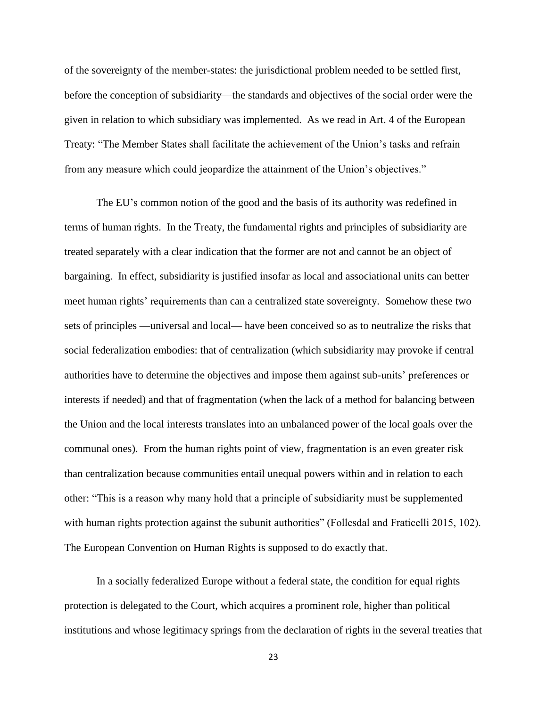of the sovereignty of the member-states: the jurisdictional problem needed to be settled first, before the conception of subsidiarity—the standards and objectives of the social order were the given in relation to which subsidiary was implemented. As we read in Art. 4 of the European Treaty: "The Member States shall facilitate the achievement of the Union's tasks and refrain from any measure which could jeopardize the attainment of the Union's objectives."

The EU's common notion of the good and the basis of its authority was redefined in terms of human rights. In the Treaty, the fundamental rights and principles of subsidiarity are treated separately with a clear indication that the former are not and cannot be an object of bargaining. In effect, subsidiarity is justified insofar as local and associational units can better meet human rights' requirements than can a centralized state sovereignty. Somehow these two sets of principles —universal and local— have been conceived so as to neutralize the risks that social federalization embodies: that of centralization (which subsidiarity may provoke if central authorities have to determine the objectives and impose them against sub-units' preferences or interests if needed) and that of fragmentation (when the lack of a method for balancing between the Union and the local interests translates into an unbalanced power of the local goals over the communal ones). From the human rights point of view, fragmentation is an even greater risk than centralization because communities entail unequal powers within and in relation to each other: "This is a reason why many hold that a principle of subsidiarity must be supplemented with human rights protection against the subunit authorities" (Follesdal and Fraticelli 2015, 102). The European Convention on Human Rights is supposed to do exactly that.

In a socially federalized Europe without a federal state, the condition for equal rights protection is delegated to the Court, which acquires a prominent role, higher than political institutions and whose legitimacy springs from the declaration of rights in the several treaties that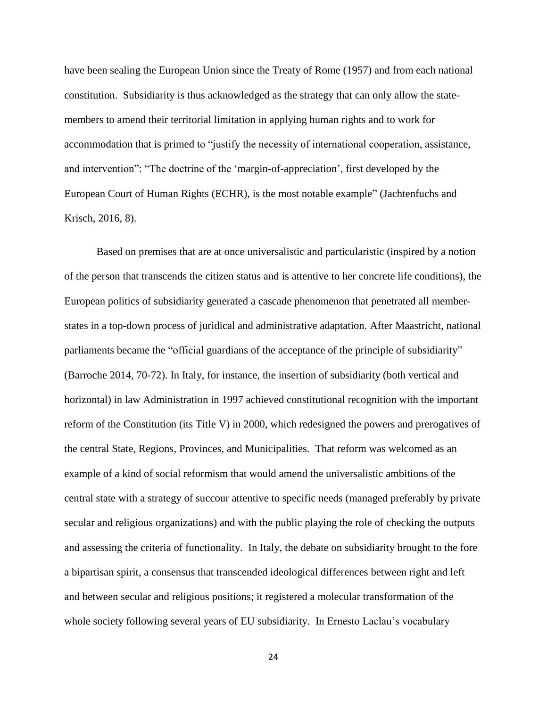have been sealing the European Union since the Treaty of Rome (1957) and from each national constitution. Subsidiarity is thus acknowledged as the strategy that can only allow the statemembers to amend their territorial limitation in applying human rights and to work for accommodation that is primed to "justify the necessity of international cooperation, assistance, and intervention": "The doctrine of the 'margin-of-appreciation', first developed by the European Court of Human Rights (ECHR), is the most notable example" (Jachtenfuchs and Krisch, 2016, 8).

Based on premises that are at once universalistic and particularistic (inspired by a notion of the person that transcends the citizen status and is attentive to her concrete life conditions), the European politics of subsidiarity generated a cascade phenomenon that penetrated all memberstates in a top-down process of juridical and administrative adaptation. After Maastricht, national parliaments became the "official guardians of the acceptance of the principle of subsidiarity" (Barroche 2014, 70-72). In Italy, for instance, the insertion of subsidiarity (both vertical and horizontal) in law Administration in 1997 achieved constitutional recognition with the important reform of the Constitution (its Title V) in 2000, which redesigned the powers and prerogatives of the central State, Regions, Provinces, and Municipalities. That reform was welcomed as an example of a kind of social reformism that would amend the universalistic ambitions of the central state with a strategy of succour attentive to specific needs (managed preferably by private secular and religious organizations) and with the public playing the role of checking the outputs and assessing the criteria of functionality. In Italy, the debate on subsidiarity brought to the fore a bipartisan spirit, a consensus that transcended ideological differences between right and left and between secular and religious positions; it registered a molecular transformation of the whole society following several years of EU subsidiarity. In Ernesto Laclau's vocabulary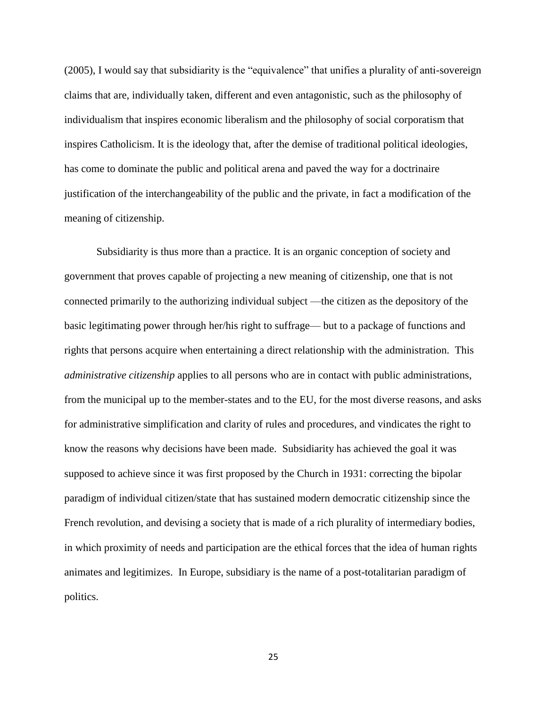(2005), I would say that subsidiarity is the "equivalence" that unifies a plurality of anti-sovereign claims that are, individually taken, different and even antagonistic, such as the philosophy of individualism that inspires economic liberalism and the philosophy of social corporatism that inspires Catholicism. It is the ideology that, after the demise of traditional political ideologies, has come to dominate the public and political arena and paved the way for a doctrinaire justification of the interchangeability of the public and the private, in fact a modification of the meaning of citizenship.

Subsidiarity is thus more than a practice. It is an organic conception of society and government that proves capable of projecting a new meaning of citizenship, one that is not connected primarily to the authorizing individual subject —the citizen as the depository of the basic legitimating power through her/his right to suffrage— but to a package of functions and rights that persons acquire when entertaining a direct relationship with the administration. This *administrative citizenship* applies to all persons who are in contact with public administrations, from the municipal up to the member-states and to the EU, for the most diverse reasons, and asks for administrative simplification and clarity of rules and procedures, and vindicates the right to know the reasons why decisions have been made. Subsidiarity has achieved the goal it was supposed to achieve since it was first proposed by the Church in 1931: correcting the bipolar paradigm of individual citizen/state that has sustained modern democratic citizenship since the French revolution, and devising a society that is made of a rich plurality of intermediary bodies, in which proximity of needs and participation are the ethical forces that the idea of human rights animates and legitimizes. In Europe, subsidiary is the name of a post-totalitarian paradigm of politics.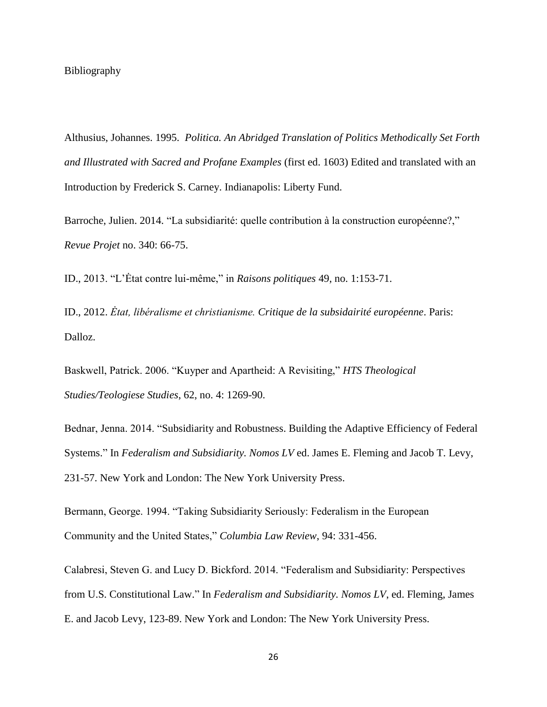# Bibliography

Althusius, Johannes. 1995. *Politica. An Abridged Translation of Politics Methodically Set Forth and Illustrated with Sacred and Profane Examples* (first ed. 1603) Edited and translated with an Introduction by Frederick S. Carney. Indianapolis: Liberty Fund.

Barroche, Julien. 2014. "La subsidiarité: quelle contribution à la construction européenne?," *Revue Projet* no. 340: 66-75.

ID., 2013. "L'Ėtat contre lui-même," in *Raisons politiques* 49, no. 1:153-71.

ID., 2012. *Ėtat, libéralisme et christianisme. Critique de la subsidairité européenne*. Paris: Dalloz.

Baskwell, Patrick. 2006. "Kuyper and Apartheid: A Revisiting," *HTS Theological Studies/Teologiese Studies*, 62, no. 4: 1269-90.

Bednar, Jenna. 2014. "Subsidiarity and Robustness. Building the Adaptive Efficiency of Federal Systems." In *Federalism and Subsidiarity. Nomos LV* ed. James E. Fleming and Jacob T. Levy, 231-57. New York and London: The New York University Press.

Bermann, George. 1994. "Taking Subsidiarity Seriously: Federalism in the European Community and the United States," *Columbia Law Review*, 94: 331-456.

Calabresi, Steven G. and Lucy D. Bickford. 2014. "Federalism and Subsidiarity: Perspectives from U.S. Constitutional Law." In *Federalism and Subsidiarity. Nomos LV*, ed. Fleming, James E. and Jacob Levy, 123-89. New York and London: The New York University Press.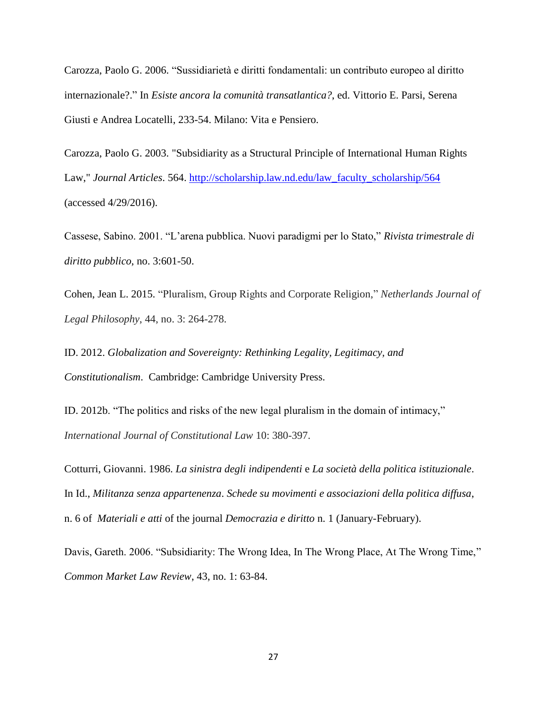Carozza, Paolo G. 2006. "Sussidiarietà e diritti fondamentali: un contributo europeo al diritto internazionale?." In *Esiste ancora la comunità transatlantica?*, ed. Vittorio E. Parsi, Serena Giusti e Andrea Locatelli, 233-54. Milano: Vita e Pensiero.

Carozza, Paolo G. 2003. "Subsidiarity as a Structural Principle of International Human Rights Law," *Journal Articles*. 564. [http://scholarship.law.nd.edu/law\\_faculty\\_scholarship/564](http://scholarship.law.nd.edu/law_faculty_scholarship/564) (accessed 4/29/2016).

Cassese, Sabino. 2001. "L'arena pubblica. Nuovi paradigmi per lo Stato," *Rivista trimestrale di diritto pubblico*, no. 3:601-50.

Cohen, Jean L. 2015. "Pluralism, Group Rights and Corporate Religion," *Netherlands Journal of Legal Philosophy*, 44, no. 3: 264-278.

ID. 2012. *Globalization and Sovereignty: Rethinking Legality, Legitimacy, and Constitutionalism*. Cambridge: Cambridge University Press.

ID. 2012b. "The politics and risks of the new legal pluralism in the domain of intimacy," *International Journal of Constitutional Law* 10: 380-397.

Cotturri, Giovanni. 1986. *La sinistra degli indipendenti* e *La società della politica istituzionale*. In Id., *Militanza senza appartenenza*. *Schede su movimenti e associazioni della politica diffusa*, n. 6 of *Materiali e atti* of the journal *Democrazia e diritto* n. 1 (January-February).

Davis, Gareth. 2006. "Subsidiarity: The Wrong Idea, In The Wrong Place, At The Wrong Time," *Common Market Law Review*, 43, no. 1: 63-84.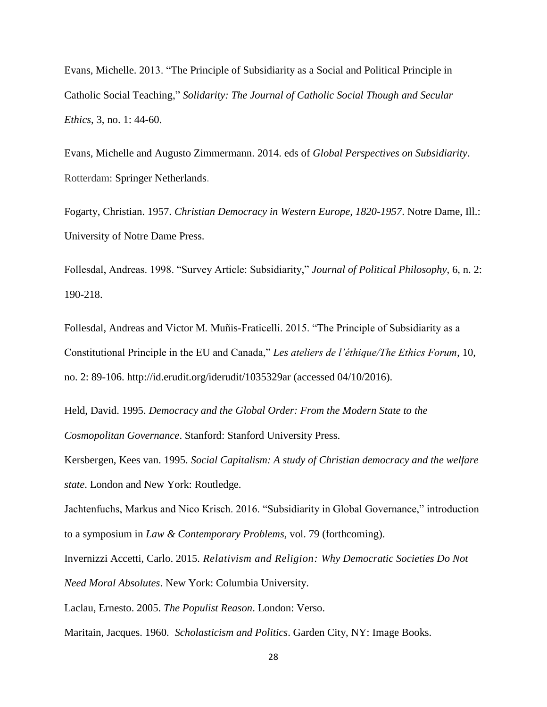Evans, Michelle. 2013. "The Principle of Subsidiarity as a Social and Political Principle in Catholic Social Teaching," *Solidarity: The Journal of Catholic Social Though and Secular Ethics*, 3, no. 1: 44-60.

Evans, Michelle and Augusto Zimmermann. 2014. eds of *Global Perspectives on Subsidiarity*. Rotterdam: Springer Netherlands.

Fogarty, Christian. 1957. *Christian Democracy in Western Europe, 1820-1957*. Notre Dame, Ill.: University of Notre Dame Press.

Follesdal, Andreas. 1998. "Survey Article: Subsidiarity," *Journal of Political Philosophy*, 6, n. 2: 190-218.

Follesdal, Andreas and Victor M. Muñis-Fraticelli. 2015. "The Principle of Subsidiarity as a Constitutional Principle in the EU and Canada," *Les ateliers de l'éthique/The Ethics Forum*, 10, no. 2: 89-106.<http://id.erudit.org/iderudit/1035329ar> (accessed 04/10/2016).

Held, David. 1995. *Democracy and the Global Order: From the Modern State to the Cosmopolitan Governance*. Stanford: Stanford University Press.

Kersbergen, Kees van. 1995. *Social Capitalism: A study of Christian democracy and the welfare state*. London and New York: Routledge.

Jachtenfuchs, Markus and Nico Krisch. 2016. "Subsidiarity in Global Governance," introduction to a symposium in *Law & Contemporary Problems,* vol. 79 (forthcoming).

Invernizzi Accetti, Carlo. 2015. *Relativism and Religion: Why Democratic Societies Do Not Need Moral Absolutes*. New York: Columbia University.

Laclau, Ernesto. 2005. *The Populist Reason*. London: Verso.

Maritain, Jacques. 1960. *Scholasticism and Politics*. Garden City, NY: Image Books.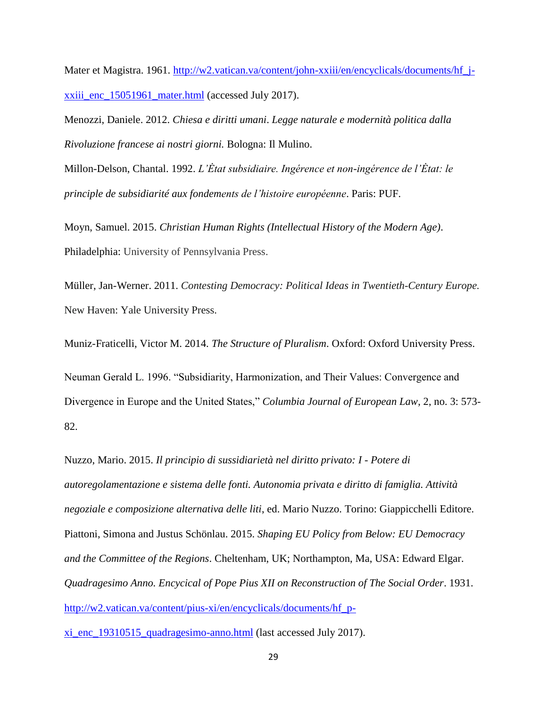Mater et Magistra. 1961. [http://w2.vatican.va/content/john-xxiii/en/encyclicals/documents/hf\\_j](http://w2.vatican.va/content/john-xxiii/en/encyclicals/documents/hf_j-xxiii_enc_15051961_mater.html)[xxiii\\_enc\\_15051961\\_mater.html](http://w2.vatican.va/content/john-xxiii/en/encyclicals/documents/hf_j-xxiii_enc_15051961_mater.html) (accessed July 2017).

Menozzi, Daniele. 2012. *Chiesa e diritti umani*. *Legge naturale e modernità politica dalla Rivoluzione francese ai nostri giorni.* Bologna: Il Mulino.

Millon-Delson, Chantal. 1992. *L'Ėtat subsidiaire. Ingérence et non-ingérence de l'Ėtat: le principle de subsidiarité aux fondements de l'histoire européenne*. Paris: PUF.

Moyn, Samuel. 2015. *Christian Human Rights (Intellectual History of the Modern Age)*. Philadelphia: University of Pennsylvania Press.

Müller, Jan-Werner. 2011. *Contesting Democracy: Political Ideas in Twentieth-Century Europe.* New Haven: Yale University Press.

Muniz-Fraticelli, Victor M. 2014. *The Structure of Pluralism*. Oxford: Oxford University Press.

Neuman Gerald L. 1996. "Subsidiarity, Harmonization, and Their Values: Convergence and Divergence in Europe and the United States," *Columbia Journal of European Law*, 2, no. 3: 573- 82.

Nuzzo, Mario. 2015. *Il principio di sussidiarietà nel diritto privato: I - Potere di autoregolamentazione e sistema delle fonti. Autonomia privata e diritto di famiglia. Attività negoziale e composizione alternativa delle liti*, ed. Mario Nuzzo. Torino: Giappicchelli Editore. Piattoni, Simona and Justus Schönlau. 2015. *Shaping EU Policy from Below: EU Democracy and the Committee of the Regions*. Cheltenham, UK; Northampton, Ma, USA: Edward Elgar. *Quadragesimo Anno. Encycical of Pope Pius XII on Reconstruction of The Social Order*. 1931. [http://w2.vatican.va/content/pius-xi/en/encyclicals/documents/hf\\_p-](http://w2.vatican.va/content/pius-xi/en/encyclicals/documents/hf_p-xi_enc_19310515_quadragesimo-anno.html)

[xi\\_enc\\_19310515\\_quadragesimo-anno.html](http://w2.vatican.va/content/pius-xi/en/encyclicals/documents/hf_p-xi_enc_19310515_quadragesimo-anno.html) (last accessed July 2017).